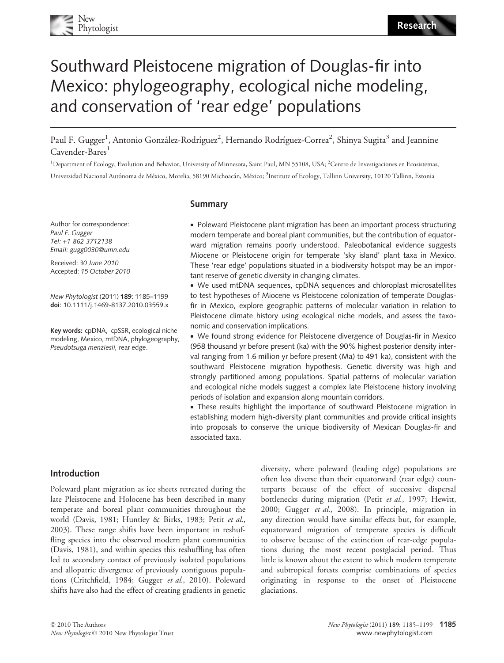

# Southward Pleistocene migration of Douglas-fir into Mexico: phylogeography, ecological niche modeling, and conservation of 'rear edge' populations

Paul F. Gugger<sup>1</sup>, Antonio González-Rodríguez<sup>2</sup>, Hernando Rodríguez-Correa<sup>2</sup>, Shinya Sugita<sup>3</sup> and Jeannine Cavender-Bares<sup>1</sup>

<sup>1</sup>Department of Ecology, Evolution and Behavior, University of Minnesota, Saint Paul, MN 55108, USA; <sup>2</sup>Centro de Investigaciones en Ecosistemas, Universidad Nacional Autónoma de México, Morelia, 58190 Michoacán, México; <sup>3</sup>Institute of Ecology, Tallinn University, 10120 Tallinn, Estonia

Author for correspondence: Paul F. Gugger Tel: +1 862 3712138 Email: gugg0030@umn.edu

Received: 30 June 2010 Accepted: 15 October 2010

New Phytologist (2011) 189: 1185–1199 doi: 10.1111/j.1469-8137.2010.03559.x

Key words: cpDNA, cpSSR, ecological niche modeling, Mexico, mtDNA, phylogeography, Pseudotsuga menziesii, rear edge.

## Summary

• Poleward Pleistocene plant migration has been an important process structuring modern temperate and boreal plant communities, but the contribution of equatorward migration remains poorly understood. Paleobotanical evidence suggests Miocene or Pleistocene origin for temperate 'sky island' plant taxa in Mexico. These 'rear edge' populations situated in a biodiversity hotspot may be an important reserve of genetic diversity in changing climates.

• We used mtDNA sequences, cpDNA sequences and chloroplast microsatellites to test hypotheses of Miocene vs Pleistocene colonization of temperate Douglasfir in Mexico, explore geographic patterns of molecular variation in relation to Pleistocene climate history using ecological niche models, and assess the taxonomic and conservation implications.

• We found strong evidence for Pleistocene divergence of Douglas-fir in Mexico (958 thousand yr before present (ka) with the 90% highest posterior density interval ranging from 1.6 million yr before present (Ma) to 491 ka), consistent with the southward Pleistocene migration hypothesis. Genetic diversity was high and strongly partitioned among populations. Spatial patterns of molecular variation and ecological niche models suggest a complex late Pleistocene history involving periods of isolation and expansion along mountain corridors.

• These results highlight the importance of southward Pleistocene migration in establishing modern high-diversity plant communities and provide critical insights into proposals to conserve the unique biodiversity of Mexican Douglas-fir and associated taxa.

## Introduction

Poleward plant migration as ice sheets retreated during the late Pleistocene and Holocene has been described in many temperate and boreal plant communities throughout the world (Davis, 1981; Huntley & Birks, 1983; Petit et al., 2003). These range shifts have been important in reshuffling species into the observed modern plant communities (Davis, 1981), and within species this reshuffling has often led to secondary contact of previously isolated populations and allopatric divergence of previously contiguous populations (Critchfield, 1984; Gugger et al., 2010). Poleward shifts have also had the effect of creating gradients in genetic diversity, where poleward (leading edge) populations are often less diverse than their equatorward (rear edge) counterparts because of the effect of successive dispersal bottlenecks during migration (Petit et al., 1997; Hewitt, 2000; Gugger et al., 2008). In principle, migration in any direction would have similar effects but, for example, equatorward migration of temperate species is difficult to observe because of the extinction of rear-edge populations during the most recent postglacial period. Thus little is known about the extent to which modern temperate and subtropical forests comprise combinations of species originating in response to the onset of Pleistocene glaciations.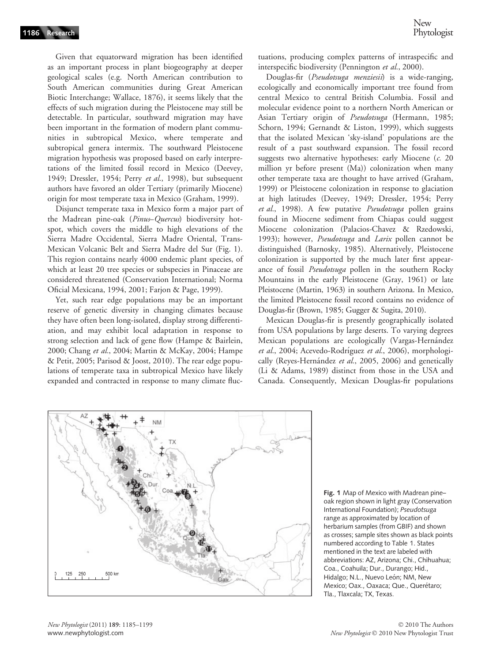Given that equatorward migration has been identified as an important process in plant biogeography at deeper geological scales (e.g. North American contribution to South American communities during Great American Biotic Interchange; Wallace, 1876), it seems likely that the effects of such migration during the Pleistocene may still be detectable. In particular, southward migration may have been important in the formation of modern plant communities in subtropical Mexico, where temperate and subtropical genera intermix. The southward Pleistocene migration hypothesis was proposed based on early interpretations of the limited fossil record in Mexico (Deevey, 1949; Dressler, 1954; Perry et al., 1998), but subsequent authors have favored an older Tertiary (primarily Miocene) origin for most temperate taxa in Mexico (Graham, 1999).

Disjunct temperate taxa in Mexico form a major part of the Madrean pine-oak (Pinus–Quercus) biodiversity hotspot, which covers the middle to high elevations of the Sierra Madre Occidental, Sierra Madre Oriental, Trans-Mexican Volcanic Belt and Sierra Madre del Sur (Fig. 1). This region contains nearly 4000 endemic plant species, of which at least 20 tree species or subspecies in Pinaceae are considered threatened (Conservation International; Norma Oficial Mexicana, 1994, 2001; Farjon & Page, 1999).

Yet, such rear edge populations may be an important reserve of genetic diversity in changing climates because they have often been long-isolated, display strong differentiation, and may exhibit local adaptation in response to strong selection and lack of gene flow (Hampe & Bairlein, 2000; Chang et al., 2004; Martin & McKay, 2004; Hampe & Petit, 2005; Parisod & Joost, 2010). The rear edge populations of temperate taxa in subtropical Mexico have likely expanded and contracted in response to many climate fluctuations, producing complex patterns of intraspecific and interspecific biodiversity (Pennington et al., 2000).

Douglas-fir (Pseudotsuga menziesii) is a wide-ranging, ecologically and economically important tree found from central Mexico to central British Columbia. Fossil and molecular evidence point to a northern North American or Asian Tertiary origin of Pseudotsuga (Hermann, 1985; Schorn, 1994; Gernandt & Liston, 1999), which suggests that the isolated Mexican 'sky-island' populations are the result of a past southward expansion. The fossil record suggests two alternative hypotheses: early Miocene (c. 20) million yr before present (Ma)) colonization when many other temperate taxa are thought to have arrived (Graham, 1999) or Pleistocene colonization in response to glaciation at high latitudes (Deevey, 1949; Dressler, 1954; Perry et al., 1998). A few putative Pseudotsuga pollen grains found in Miocene sediment from Chiapas could suggest Miocene colonization (Palacios-Chavez & Rzedowski, 1993); however, Pseudotsuga and Larix pollen cannot be distinguished (Barnosky, 1985). Alternatively, Pleistocene colonization is supported by the much later first appearance of fossil Pseudotsuga pollen in the southern Rocky Mountains in the early Pleistocene (Gray, 1961) or late Pleistocene (Martin, 1963) in southern Arizona. In Mexico, the limited Pleistocene fossil record contains no evidence of Douglas-fir (Brown, 1985; Gugger & Sugita, 2010).

Mexican Douglas-fir is presently geographically isolated from USA populations by large deserts. To varying degrees Mexican populations are ecologically (Vargas-Hernández et al., 2004; Acevedo-Rodríguez et al., 2006), morphologically (Reyes-Hernández et al., 2005, 2006) and genetically (Li & Adams, 1989) distinct from those in the USA and Canada. Consequently, Mexican Douglas-fir populations



Fig. 1 Map of Mexico with Madrean pine– oak region shown in light gray (Conservation International Foundation); Pseudotsuga range as approximated by location of herbarium samples (from GBIF) and shown as crosses; sample sites shown as black points numbered according to Table 1. States mentioned in the text are labeled with abbreviations: AZ, Arizona; Chi., Chihuahua; Coa., Coahuila; Dur., Durango; Hid., Hidalgo; N.L., Nuevo León; NM, New Mexico; Oax., Oaxaca; Que., Querétaro; Tla., Tlaxcala; TX, Texas.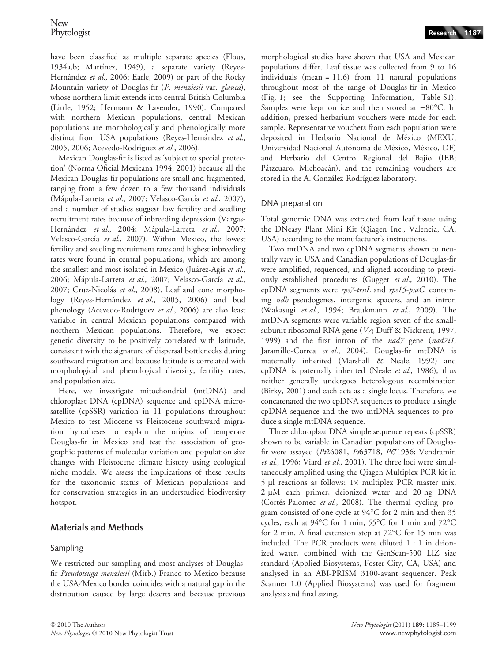have been classified as multiple separate species (Flous, 1934a,b; Martínez, 1949), a separate variety (Reyes-Hernández et al., 2006; Earle, 2009) or part of the Rocky Mountain variety of Douglas-fir (P. menziesii var. glauca), whose northern limit extends into central British Columbia (Little, 1952; Hermann & Lavender, 1990). Compared with northern Mexican populations, central Mexican populations are morphologically and phenologically more distinct from USA populations (Reyes-Hernández et al., 2005, 2006; Acevedo-Rodríguez et al., 2006).

Mexican Douglas-fir is listed as 'subject to special protection' (Norma Oficial Mexicana 1994, 2001) because all the Mexican Douglas-fir populations are small and fragmented, ranging from a few dozen to a few thousand individuals (Mápula-Larreta et al., 2007; Velasco-García et al., 2007), and a number of studies suggest low fertility and seedling recruitment rates because of inbreeding depression (Vargas-Hernández et al., 2004; Mápula-Larreta et al., 2007; Velasco-García et al., 2007). Within Mexico, the lowest fertility and seedling recruitment rates and highest inbreeding rates were found in central populations, which are among the smallest and most isolated in Mexico (Juárez-Agis et al., 2006; Mápula-Larreta et al., 2007; Velasco-García et al., 2007; Cruz-Nicolás et al., 2008). Leaf and cone morphology (Reyes-Hernández et al., 2005, 2006) and bud phenology (Acevedo-Rodríguez et al., 2006) are also least variable in central Mexican populations compared with northern Mexican populations. Therefore, we expect genetic diversity to be positively correlated with latitude, consistent with the signature of dispersal bottlenecks during southward migration and because latitude is correlated with morphological and phenological diversity, fertility rates, and population size.

Here, we investigate mitochondrial (mtDNA) and chloroplast DNA (cpDNA) sequence and cpDNA microsatellite (cpSSR) variation in 11 populations throughout Mexico to test Miocene vs Pleistocene southward migration hypotheses to explain the origins of temperate Douglas-fir in Mexico and test the association of geographic patterns of molecular variation and population size changes with Pleistocene climate history using ecological niche models. We assess the implications of these results for the taxonomic status of Mexican populations and for conservation strategies in an understudied biodiversity hotspot.

## Materials and Methods

## Sampling

We restricted our sampling and most analyses of Douglasfir Pseudotsuga menziesii (Mirb.) Franco to Mexico because the USA⁄Mexico border coincides with a natural gap in the distribution caused by large deserts and because previous morphological studies have shown that USA and Mexican populations differ. Leaf tissue was collected from 9 to 16 individuals (mean = 11.6) from 11 natural populations throughout most of the range of Douglas-fir in Mexico (Fig. 1; see the Supporting Information, Table S1). Samples were kept on ice and then stored at  $-80^{\circ}$ C. In addition, pressed herbarium vouchers were made for each sample. Representative vouchers from each population were deposited in Herbario Nacional de México (MEXU; Universidad Nacional Autónoma de México, México, DF) and Herbario del Centro Regional del Bajío (IEB; Pátzcuaro, Michoacán), and the remaining vouchers are stored in the A. González-Rodríguez laboratory.

## DNA preparation

Total genomic DNA was extracted from leaf tissue using the DNeasy Plant Mini Kit (Qiagen Inc., Valencia, CA, USA) according to the manufacturer's instructions.

Two mtDNA and two cpDNA segments shown to neutrally vary in USA and Canadian populations of Douglas-fir were amplified, sequenced, and aligned according to previously established procedures (Gugger et al., 2010). The cpDNA segments were rps7-trnL and rps15-psaC, containing *ndh* pseudogenes, intergenic spacers, and an intron (Wakasugi et al., 1994; Braukmann et al., 2009). The mtDNA segments were variable region seven of the smallsubunit ribosomal RNA gene (V7; Duff & Nickrent, 1997, 1999) and the first intron of the nad7 gene (nad7i1; Jaramillo-Correa et al., 2004). Douglas-fir mtDNA is maternally inherited (Marshall & Neale, 1992) and cpDNA is paternally inherited (Neale et al., 1986), thus neither generally undergoes heterologous recombination (Birky, 2001) and each acts as a single locus. Therefore, we concatenated the two cpDNA sequences to produce a single cpDNA sequence and the two mtDNA sequences to produce a single mtDNA sequence.

Three chloroplast DNA simple sequence repeats (cpSSR) shown to be variable in Canadian populations of Douglasfir were assayed (Pt26081, Pt63718, Pt71936; Vendramin et al., 1996; Viard et al., 2001). The three loci were simultaneously amplified using the Qiagen Multiplex PCR kit in  $5 \mu l$  reactions as follows:  $1 \times$  multiplex PCR master mix, 2 µM each primer, deionized water and 20 ng DNA (Cortés-Palomec et al., 2008). The thermal cycling program consisted of one cycle at 94"C for 2 min and then 35 cycles, each at 94°C for 1 min, 55°C for 1 min and 72°C for 2 min. A final extension step at  $72^{\circ}$ C for 15 min was included. The PCR products were diluted 1 : 1 in deionized water, combined with the GenScan-500 LIZ size standard (Applied Biosystems, Foster City, CA, USA) and analysed in an ABI-PRISM 3100-avant sequencer. Peak Scanner 1.0 (Applied Biosystems) was used for fragment analysis and final sizing.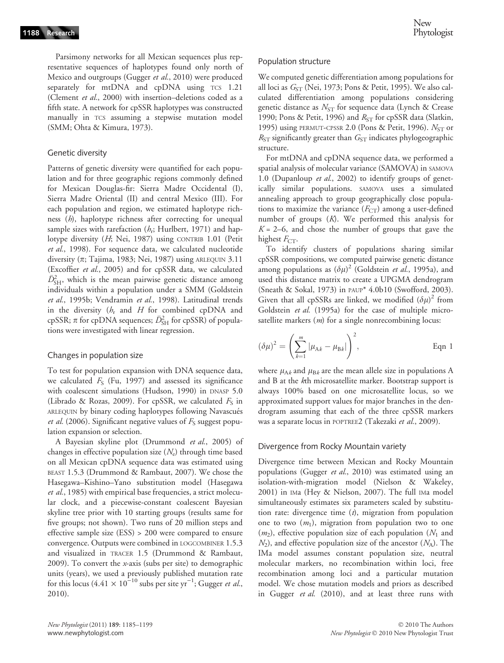Parsimony networks for all Mexican sequences plus representative sequences of haplotypes found only north of Mexico and outgroups (Gugger et al., 2010) were produced separately for mtDNA and cpDNA using TCS 1.21 (Clement et al., 2000) with insertion–deletions coded as a fifth state. A network for cpSSR haplotypes was constructed manually in TCS assuming a stepwise mutation model (SMM; Ohta & Kimura, 1973).

#### Genetic diversity

Patterns of genetic diversity were quantified for each population and for three geographic regions commonly defined for Mexican Douglas-fir: Sierra Madre Occidental (I), Sierra Madre Oriental (II) and central Mexico (III). For each population and region, we estimated haplotype richness (*h*), haplotype richness after correcting for unequal sample sizes with rarefaction  $(h_r; Hurlbert, 1971)$  and haplotype diversity (H; Nei, 1987) using CONTRIB 1.01 (Petit et al., 1998). For sequence data, we calculated nucleotide diversity ( $\pi$ ; Tajima, 1983; Nei, 1987) using ARLEQUIN 3.11 (Excoffier et al., 2005) and for cpSSR data, we calculated  $\bar{D}_{\rm SH}^2$ , which is the mean pairwise genetic distance among individuals within a population under a SMM (Goldstein et al., 1995b; Vendramin et al., 1998). Latitudinal trends in the diversity  $(h_r$  and H for combined cpDNA and cpSSR;  $\pi$  for cpDNA sequences;  $\bar{D}_{\rm SH}^2$  for cpSSR) of populations were investigated with linear regression.

#### Changes in population size

To test for population expansion with DNA sequence data, we calculated  $F_S$  (Fu, 1997) and assessed its significance with coalescent simulations (Hudson, 1990) in DNASP 5.0 (Librado & Rozas, 2009). For cpSSR, we calculated  $F<sub>S</sub>$  in ARLEQUIN by binary coding haplotypes following Navascués *et al.* (2006). Significant negative values of  $F<sub>S</sub>$  suggest population expansion or selection.

A Bayesian skyline plot (Drummond et al., 2005) of changes in effective population size  $(N_e)$  through time based on all Mexican cpDNA sequence data was estimated using BEAST 1.5.3 (Drummond & Rambaut, 2007). We chose the Hasegawa–Kishino–Yano substitution model (Hasegawa et al., 1985) with empirical base frequencies, a strict molecular clock, and a piecewise-constant coalescent Bayesian skyline tree prior with 10 starting groups (results same for five groups; not shown). Two runs of 20 million steps and effective sample size (ESS) > 200 were compared to ensure convergence. Outputs were combined in LOGCOMBINER 1.5.3 and visualized in TRACER 1.5 (Drummond & Rambaut, 2009). To convert the x-axis (subs per site) to demographic units (years), we used a previously published mutation rate for this locus (4.41  $\times$  10<sup>-10</sup> subs per site yr<sup>-1</sup>; Gugger *et al.*, 2010).

#### Population structure

We computed genetic differentiation among populations for all loci as  $G_{ST}$  (Nei, 1973; Pons & Petit, 1995). We also calculated differentiation among populations considering genetic distance as  $N_{ST}$  for sequence data (Lynch & Crease 1990; Pons & Petit, 1996) and  $R_{ST}$  for cpSSR data (Slatkin, 1995) using PERMUT-CPSSR 2.0 (Pons & Petit, 1996).  $N_{ST}$  or  $R_{ST}$  significantly greater than  $G_{ST}$  indicates phylogeographic structure.

For mtDNA and cpDNA sequence data, we performed a spatial analysis of molecular variance (SAMOVA) in SAMOVA 1.0 (Dupanloup et al., 2002) to identify groups of genetically similar populations. SAMOVA uses a simulated annealing approach to group geographically close populations to maximize the variance  $(F_{CT})$  among a user-defined number of groups (K). We performed this analysis for  $K = 2-6$ , and chose the number of groups that gave the highest  $F_{CT}$ .

To identify clusters of populations sharing similar cpSSR compositions, we computed pairwise genetic distance among populations as  $(\delta \mu)^2$  (Goldstein et al., 1995a), and used this distance matrix to create a UPGMA dendrogram (Sneath & Sokal, 1973) in PAUP\* 4.0b10 (Swofford, 2003). Given that all cpSSRs are linked, we modified  $(\delta \mu)^2$  from Goldstein et al. (1995a) for the case of multiple microsatellite markers  $(m)$  for a single nonrecombining locus:

$$
(\delta \mu)^2 = \left(\sum_{k=1}^m |\mu_{\mathbf{A}k} - \mu_{\mathbf{B}k}|\right)^2, \qquad \text{Eqn 1}
$$

where  $\mu_{A,k}$  and  $\mu_{B,k}$  are the mean allele size in populations A and B at the kth microsatellite marker. Bootstrap support is always 100% based on one microsatellite locus, so we approximated support values for major branches in the dendrogram assuming that each of the three cpSSR markers was a separate locus in POPTREE2 (Takezaki et al., 2009).

#### Divergence from Rocky Mountain variety

Divergence time between Mexican and Rocky Mountain populations (Gugger et al., 2010) was estimated using an isolation-with-migration model (Nielson & Wakeley, 2001) in IMa (Hey & Nielson, 2007). The full IMa model simultaneously estimates six parameters scaled by substitution rate: divergence time  $(t)$ , migration from population one to two  $(m_1)$ , migration from population two to one  $(m_2)$ , effective population size of each population  $(N_1 \text{ and } N_2 \text{)}$  $N_2$ ), and effective population size of the ancestor  $(N_A)$ . The IMa model assumes constant population size, neutral molecular markers, no recombination within loci, free recombination among loci and a particular mutation model. We chose mutation models and priors as described in Gugger et al. (2010), and at least three runs with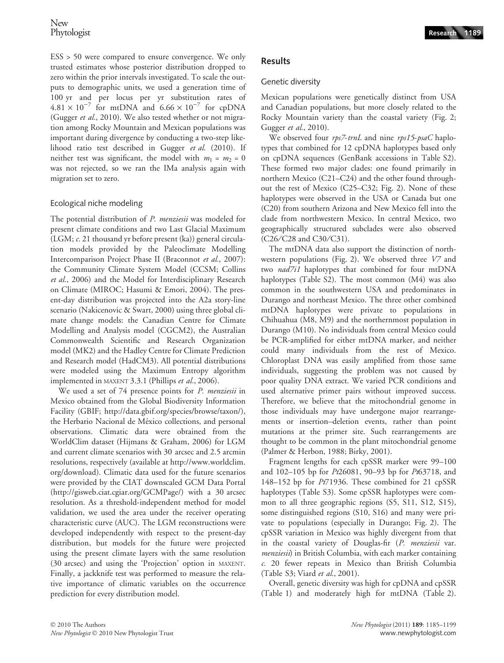ESS > 50 were compared to ensure convergence. We only trusted estimates whose posterior distribution dropped to zero within the prior intervals investigated. To scale the outputs to demographic units, we used a generation time of 100 yr and per locus per yr substitution rates of  $4.81 \times 10^{-7}$  for mtDNA and  $6.66 \times 10^{-7}$  for cpDNA (Gugger et al., 2010). We also tested whether or not migration among Rocky Mountain and Mexican populations was important during divergence by conducting a two-step likelihood ratio test described in Gugger et al. (2010). If neither test was significant, the model with  $m_1 = m_2 = 0$ was not rejected, so we ran the IMa analysis again with migration set to zero.

## Ecological niche modeling

The potential distribution of *P. menziesii* was modeled for present climate conditions and two Last Glacial Maximum (LGM; c. 21 thousand yr before present (ka)) general circulation models provided by the Paleoclimate Modelling Intercomparison Project Phase II (Braconnot et al., 2007): the Community Climate System Model (CCSM; Collins et al., 2006) and the Model for Interdisciplinary Research on Climate (MIROC; Hasumi & Emori, 2004). The present-day distribution was projected into the A2a story-line scenario (Nakicenovic & Swart, 2000) using three global climate change models: the Canadian Centre for Climate Modelling and Analysis model (CGCM2), the Australian Commonwealth Scientific and Research Organization model (MK2) and the Hadley Centre for Climate Prediction and Research model (HadCM3). All potential distributions were modeled using the Maximum Entropy algorithm implemented in MAXENT 3.3.1 (Phillips et al., 2006).

We used a set of 74 presence points for P. menziesii in Mexico obtained from the Global Biodiversity Information Facility (GBIF; http://data.gbif.org/species/browse/taxon/), the Herbario Nacional de México collections, and personal observations. Climatic data were obtained from the WorldClim dataset (Hijmans & Graham, 2006) for LGM and current climate scenarios with 30 arcsec and 2.5 arcmin resolutions, respectively (available at http://www.worldclim. org/download). Climatic data used for the future scenarios were provided by the CIAT downscaled GCM Data Portal (http://gisweb.ciat.cgiar.org/GCMPage/) with a 30 arcsec resolution. As a threshold-independent method for model validation, we used the area under the receiver operating characteristic curve (AUC). The LGM reconstructions were developed independently with respect to the present-day distribution, but models for the future were projected using the present climate layers with the same resolution (30 arcsec) and using the 'Projection' option in MAXENT. Finally, a jackknife test was performed to measure the relative importance of climatic variables on the occurrence prediction for every distribution model.

## **Results**

## Genetic diversity

Mexican populations were genetically distinct from USA and Canadian populations, but more closely related to the Rocky Mountain variety than the coastal variety (Fig. 2; Gugger et al., 2010).

We observed four rps7-trnL and nine rps15-psaC haplotypes that combined for 12 cpDNA haplotypes based only on cpDNA sequences (GenBank accessions in Table S2). These formed two major clades: one found primarily in northern Mexico (C21–C24) and the other found throughout the rest of Mexico (C25–C32; Fig. 2). None of these haplotypes were observed in the USA or Canada but one (C20) from southern Arizona and New Mexico fell into the clade from northwestern Mexico. In central Mexico, two geographically structured subclades were also observed (C26/C28 and C30/C31).

The mtDNA data also support the distinction of northwestern populations (Fig. 2). We observed three V7 and two *nad7i1* haplotypes that combined for four mtDNA haplotypes (Table S2). The most common (M4) was also common in the southwestern USA and predominates in Durango and northeast Mexico. The three other combined mtDNA haplotypes were private to populations in Chihuahua (M8, M9) and the northernmost population in Durango (M10). No individuals from central Mexico could be PCR-amplified for either mtDNA marker, and neither could many individuals from the rest of Mexico. Chloroplast DNA was easily amplified from those same individuals, suggesting the problem was not caused by poor quality DNA extract. We varied PCR conditions and used alternative primer pairs without improved success. Therefore, we believe that the mitochondrial genome in those individuals may have undergone major rearrangements or insertion–deletion events, rather than point mutations at the primer site. Such rearrangements are thought to be common in the plant mitochondrial genome (Palmer & Herbon, 1988; Birky, 2001).

Fragment lengths for each cpSSR marker were 99–100 and 102–105 bp for Pt26081, 90–93 bp for Pt63718, and 148–152 bp for  $Pf71936$ . These combined for 21 cpSSR haplotypes (Table S3). Some cpSSR haplotypes were common to all three geographic regions (S5, S11, S12, S15), some distinguished regions (S10, S16) and many were private to populations (especially in Durango; Fig. 2). The cpSSR variation in Mexico was highly divergent from that in the coastal variety of Douglas-fir (P. menziesii var. menziesii) in British Columbia, with each marker containing c. 20 fewer repeats in Mexico than British Columbia (Table S3; Viard et al., 2001).

Overall, genetic diversity was high for cpDNA and cpSSR (Table 1) and moderately high for mtDNA (Table 2).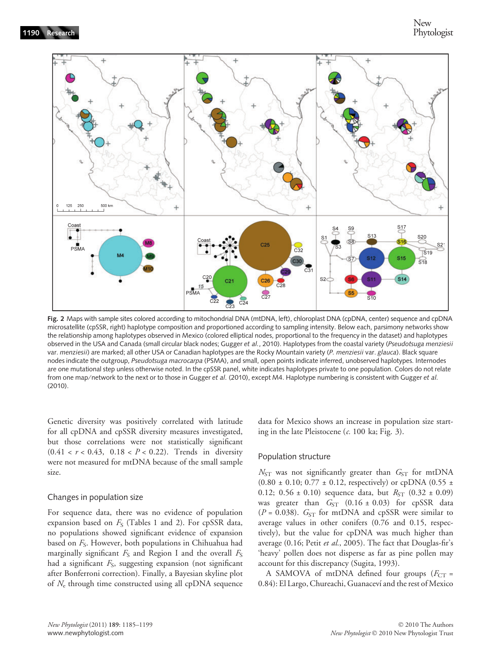

Fig. 2 Maps with sample sites colored according to mitochondrial DNA (mtDNA, left), chloroplast DNA (cpDNA, center) sequence and cpDNA microsatellite (cpSSR, right) haplotype composition and proportioned according to sampling intensity. Below each, parsimony networks show the relationship among haplotypes observed in Mexico (colored elliptical nodes, proportional to the frequency in the dataset) and haplotypes observed in the USA and Canada (small circular black nodes; Gugger et al., 2010). Haplotypes from the coastal variety (Pseudotsuga menziesii var. menziesii) are marked; all other USA or Canadian haplotypes are the Rocky Mountain variety (P. menziesii var. glauca). Black square nodes indicate the outgroup, Pseudotsuga macrocarpa (PSMA), and small, open points indicate inferred, unobserved haplotypes. Internodes are one mutational step unless otherwise noted. In the cpSSR panel, white indicates haplotypes private to one population. Colors do not relate from one map/network to the next or to those in Gugger et al. (2010), except M4. Haplotype numbering is consistent with Gugger et al. (2010).

Genetic diversity was positively correlated with latitude for all cpDNA and cpSSR diversity measures investigated, but those correlations were not statistically significant  $(0.41 < r < 0.43, 0.18 < P < 0.22)$ . Trends in diversity were not measured for mtDNA because of the small sample size.

#### Changes in population size

For sequence data, there was no evidence of population expansion based on  $F<sub>S</sub>$  (Tables 1 and 2). For cpSSR data, no populations showed significant evidence of expansion based on  $F_S$ . However, both populations in Chihuahua had marginally significant  $F_S$  and Region I and the overall  $F_S$ had a significant  $F_S$ , suggesting expansion (not significant after Bonferroni correction). Finally, a Bayesian skyline plot of  $N_e$  through time constructed using all cpDNA sequence data for Mexico shows an increase in population size starting in the late Pleistocene  $(c. 100 \text{ ka}; \text{Fig. 3}).$ 

#### Population structure

 $N_{ST}$  was not significantly greater than  $G_{ST}$  for mtDNA (0.80  $\pm$  0.10; 0.77  $\pm$  0.12, respectively) or cpDNA (0.55  $\pm$ 0.12; 0.56  $\pm$  0.10) sequence data, but  $R_{ST}$  (0.32  $\pm$  0.09) was greater than  $G_{ST}$  (0.16 ± 0.03) for cpSSR data ( $P = 0.038$ ).  $G_{ST}$  for mtDNA and cpSSR were similar to average values in other conifers (0.76 and 0.15, respectively), but the value for cpDNA was much higher than average (0.16; Petit et al., 2005). The fact that Douglas-fir's 'heavy' pollen does not disperse as far as pine pollen may account for this discrepancy (Sugita, 1993).

A SAMOVA of mtDNA defined four groups ( $F_{CT}$  = 0.84): El Largo, Chureachi, Guanaceví and the rest of Mexico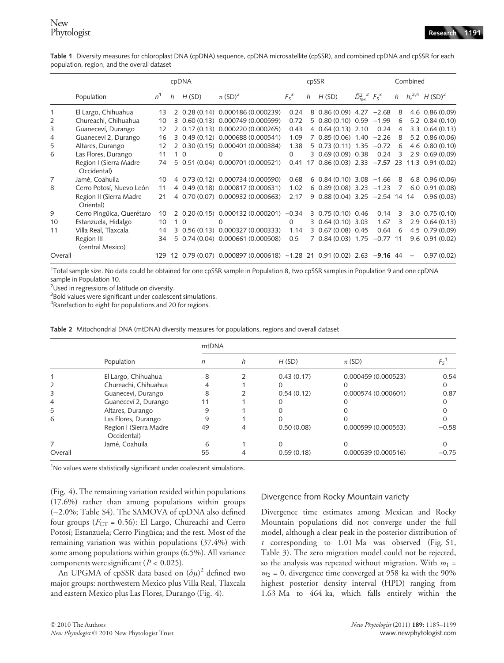Table 1 Diversity measures for chloroplast DNA (cpDNA) sequence, cpDNA microsatellite (cpSSR), and combined cpDNA and cpSSR for each population, region, and the overall dataset

|                |                                      |       | cpDNA |               |                                                                           |              | cpSSR |                                                        |                                    |      | Combined       |                          |                                   |
|----------------|--------------------------------------|-------|-------|---------------|---------------------------------------------------------------------------|--------------|-------|--------------------------------------------------------|------------------------------------|------|----------------|--------------------------|-----------------------------------|
|                | Population                           | $n^1$ | h     | H(SD)         | $\pi$ (SD) <sup>2</sup>                                                   | $F_S^3$      | h     | H(SD)                                                  | $\bar{D}_{\rm SH}^2$ $F_{\rm S}^3$ |      |                |                          | h $h_r^{2,4}$ H (SD) <sup>2</sup> |
|                | El Largo, Chihuahua                  | 13    |       |               | 2 0.28 (0.14) 0.000186 (0.000239)                                         | 0.24         |       | 8 $0.86(0.09)$ 4.27 $-2.68$                            |                                    |      | 8              |                          | $4.6$ $0.86(0.09)$                |
| 2              | Chureachi, Chihuahua                 | 10    | 3     |               | $0.60(0.13)$ $0.000749(0.000599)$                                         | 0.72         |       | $5$ 0.80 (0.10) 0.59 $-1.99$                           |                                    |      | 6              |                          | $5.2$ $0.84$ (0.10)               |
| 3              | Guaneceví, Durango                   | 12    |       |               | 2 0.17 (0.13) 0.000220 (0.000265)                                         | 0.43         |       | 4 0.64 (0.13) 2.10                                     |                                    | 0.24 | $\overline{4}$ |                          | $3.3$ $0.64(0.13)$                |
| $\overline{4}$ | Guaneceví 2, Durango                 | 16    |       |               | 3 0.49 (0.12) 0.000688 (0.000541)                                         | 1.09         |       | $7$ 0.85 (0.06) 1.40 $-2.26$                           |                                    |      | 8              |                          | $5.2$ 0.86 (0.06)                 |
| 5              | Altares, Durango                     | 12    |       |               | 2 0.30 (0.15) 0.000401 (0.000384)                                         | 1.38         |       | $5$ 0.73 (0.11) 1.35 $-0.72$                           |                                    |      | 6              |                          | $4.6$ 0.80 (0.10)                 |
| 6              | Las Flores, Durango                  | 11    |       | $1\Omega$     | $\Omega$                                                                  | $\Omega$     |       | 3 0.69 (0.09) 0.38                                     |                                    | 0.24 | 3              |                          | $2.9$ 0.69 (0.09)                 |
|                | Region I (Sierra Madre               | 74    |       |               | 5 0.51 (0.04) 0.000701 (0.000521)                                         |              |       | $0.41$ 17 $0.86$ (0.03) 2.33 -7.57 23 11.3 0.91 (0.02) |                                    |      |                |                          |                                   |
|                | Occidental)                          |       |       |               |                                                                           |              |       |                                                        |                                    |      |                |                          |                                   |
| $\overline{7}$ | Jamé, Coahuila                       | 10    |       |               | 4 0.73 (0.12) 0.000734 (0.000590)                                         | 0.68         |       | $6\,0.84\,(0.10)\,3.08\,-1.66$                         |                                    |      | -8             |                          | $6.8$ 0.96 (0.06)                 |
| 8              | Cerro Potosí, Nuevo León             | 11    |       |               | 4 0.49 (0.18) 0.000817 (0.000631)                                         | 1.02         |       | $6$ 0.89 (0.08) 3.23 $-1.23$                           |                                    |      | 7              |                          | $6.0$ $0.91(0.08)$                |
|                | Region II (Sierra Madre<br>Oriental) | 21    |       |               | 4 0.70 (0.07) 0.000932 (0.000663)                                         | 2.17         |       | 9 0.88 (0.04) 3.25 -2.54 14 14                         |                                    |      |                |                          | 0.96(0.03)                        |
| 9              | Cerro Pingüica, Querétaro            | 10    |       |               | 2 0.20 (0.15) 0.000132 (0.000201)                                         | $-0.34$      |       | 3 0.75 (0.10) 0.46                                     |                                    | 0.14 | 3              |                          | $3.0 \quad 0.75 \ (0.10)$         |
| 10             | Estanzuela, Hidalgo                  | 10    |       | $1\quadOmega$ | $\Omega$                                                                  | $\mathbf{0}$ |       | 3 0.64 (0.10) 3.03                                     |                                    | 1.67 | 3              |                          | $2.9$ 0.64 (0.13)                 |
| 11             | Villa Real, Tlaxcala                 | 14    |       |               | 3 0.56 (0.13) 0.000327 (0.000333)                                         | 1.14         |       | 3 0.67 (0.08) 0.45                                     |                                    | 0.64 | 6              |                          | 4.5 0.79 (0.09)                   |
|                | Region III                           | 34    |       |               | 5 0.74 (0.04) 0.000661 (0.000508)                                         | 0.5          |       | 7 0.84 (0.03) 1.75 -0.77 11                            |                                    |      |                |                          | 9.6 0.91 (0.02)                   |
|                | (central Mexico)                     |       |       |               |                                                                           |              |       |                                                        |                                    |      |                |                          |                                   |
| Overall        |                                      |       |       |               | 129 12 0.79 (0.07) 0.000897 (0.000618) -1.28 21 0.91 (0.02) 2.63 -9.16 44 |              |       |                                                        |                                    |      |                | $\overline{\phantom{m}}$ | 0.97(0.02)                        |

1 Total sample size. No data could be obtained for one cpSSR sample in Population 8, two cpSSR samples in Population 9 and one cpDNA sample in Population 10.

<sup>2</sup>Used in regressions of latitude on diversity.

<sup>3</sup>Bold values were significant under coalescent simulations.

<sup>4</sup>Rarefaction to eight for populations and 20 for regions.

|         |                                       | mtDNA |   |            |                    |         |  |  |  |  |
|---------|---------------------------------------|-------|---|------------|--------------------|---------|--|--|--|--|
|         | Population                            | n     | h | H(SD)      | $\pi$ (SD)         | Fς      |  |  |  |  |
|         | El Largo, Chihuahua                   | 8     |   | 0.43(0.17) | 0.000459(0.000523) | 0.54    |  |  |  |  |
|         | Chureachi, Chihuahua                  |       |   |            |                    |         |  |  |  |  |
| 3       | Guaneceví, Durango                    | 8     |   | 0.54(0.12) | 0.000574(0.000601) | 0.87    |  |  |  |  |
| 4       | Guaneceví 2, Durango                  | 11    |   |            |                    |         |  |  |  |  |
| 5       | Altares, Durango                      | 9     |   |            |                    |         |  |  |  |  |
| 6       | Las Flores, Durango                   | 9     |   |            |                    |         |  |  |  |  |
|         | Region I (Sierra Madre<br>Occidental) | 49    |   | 0.50(0.08) | 0.000599(0.000553) | $-0.58$ |  |  |  |  |
| 7       | Jamé, Coahuila                        | 6     |   | $\Omega$   | Ω                  |         |  |  |  |  |
| Overall |                                       | 55    | 4 | 0.59(0.18) | 0.000539(0.000516) | $-0.75$ |  |  |  |  |

Table 2 Mitochondrial DNA (mtDNA) diversity measures for populations, regions and overall dataset

<sup>1</sup>No values were statistically significant under coalescent simulations.

(Fig. 4). The remaining variation resided within populations (17.6%) rather than among populations within groups  $(-2.0\%;$  Table S4). The SAMOVA of cpDNA also defined four groups ( $F_{CT}$  = 0.56): El Largo, Chureachi and Cerro Potosí; Estanzuela; Cerro Pingüica; and the rest. Most of the remaining variation was within populations (37.4%) with some among populations within groups (6.5%). All variance components were significant ( $P < 0.025$ ).

An UPGMA of cpSSR data based on  $(\delta \mu)^2$  defined two major groups: northwestern Mexico plus Villa Real, Tlaxcala and eastern Mexico plus Las Flores, Durango (Fig. 4).

## Divergence from Rocky Mountain variety

Divergence time estimates among Mexican and Rocky Mountain populations did not converge under the full model, although a clear peak in the posterior distribution of t corresponding to 1.01 Ma was observed (Fig. S1, Table 3). The zero migration model could not be rejected, so the analysis was repeated without migration. With  $m_1 =$  $m_2$  = 0, divergence time converged at 958 ka with the 90% highest posterior density interval (HPD) ranging from 1.63 Ma to 464 ka, which falls entirely within the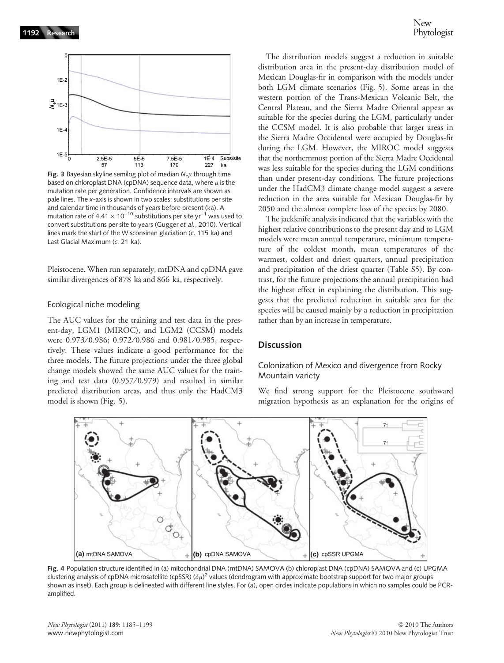

Fig. 3 Bayesian skyline semilog plot of median  $N_{e}\mu$  through time based on chloroplast DNA (cpDNA) sequence data, where  $\mu$  is the mutation rate per generation. Confidence intervals are shown as pale lines. The x-axis is shown in two scales: substitutions per site and calendar time in thousands of years before present (ka). A mutation rate of 4.41  $\times$  10<sup>-10</sup> substitutions per site yr<sup>-1</sup> was used to convert substitutions per site to years (Gugger et al., 2010). Vertical lines mark the start of the Wisconsinan glaciation (c. 115 ka) and Last Glacial Maximum (c. 21 ka).

Pleistocene. When run separately, mtDNA and cpDNA gave similar divergences of 878 ka and 866 ka, respectively.

#### Ecological niche modeling

The AUC values for the training and test data in the present-day, LGM1 (MIROC), and LGM2 (CCSM) models were 0.973/0.986; 0.972/0.986 and 0.981/0.985, respectively. These values indicate a good performance for the three models. The future projections under the three global change models showed the same AUC values for the training and test data  $(0.957/0.979)$  and resulted in similar predicted distribution areas, and thus only the HadCM3 model is shown (Fig. 5).

The distribution models suggest a reduction in suitable distribution area in the present-day distribution model of Mexican Douglas-fir in comparison with the models under both LGM climate scenarios (Fig. 5). Some areas in the western portion of the Trans-Mexican Volcanic Belt, the Central Plateau, and the Sierra Madre Oriental appear as suitable for the species during the LGM, particularly under the CCSM model. It is also probable that larger areas in the Sierra Madre Occidental were occupied by Douglas-fir during the LGM. However, the MIROC model suggests that the northernmost portion of the Sierra Madre Occidental was less suitable for the species during the LGM conditions than under present-day conditions. The future projections under the HadCM3 climate change model suggest a severe reduction in the area suitable for Mexican Douglas-fir by 2050 and the almost complete loss of the species by 2080.

The jackknife analysis indicated that the variables with the highest relative contributions to the present day and to LGM models were mean annual temperature, minimum temperature of the coldest month, mean temperatures of the warmest, coldest and driest quarters, annual precipitation and precipitation of the driest quarter (Table S5). By contrast, for the future projections the annual precipitation had the highest effect in explaining the distribution. This suggests that the predicted reduction in suitable area for the species will be caused mainly by a reduction in precipitation rather than by an increase in temperature.

## **Discussion**

## Colonization of Mexico and divergence from Rocky Mountain variety

We find strong support for the Pleistocene southward migration hypothesis as an explanation for the origins of



Fig. 4 Population structure identified in (a) mitochondrial DNA (mtDNA) SAMOVA (b) chloroplast DNA (cpDNA) SAMOVA and (c) UPGMA clustering analysis of cpDNA microsatellite (cpSSR) ( $\delta\mu$ )<sup>2</sup> values (dendrogram with approximate bootstrap support for two major groups shown as inset). Each group is delineated with different line styles. For (a), open circles indicate populations in which no samples could be PCRamplified.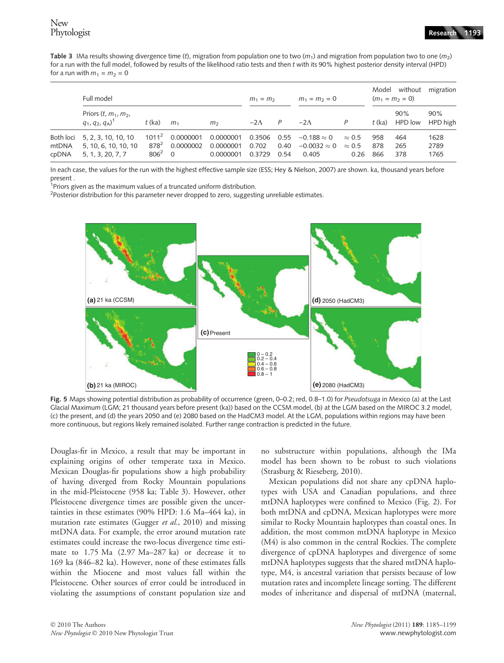Table 3 IMa results showing divergence time (t), migration from population one to two ( $m_1$ ) and migration from population two to one ( $m_2$ ) for a run with the full model, followed by results of the likelihood ratio tests and then t with its 90% highest posterior density interval (HPD) for a run with  $m_1 = m_2 = 0$ 

|                             | Full model                                                       |                                         | $m_1 = m_2$                              |                                     | $m_1 = m_2 = 0$                |              | without<br>Model<br>$(m_1 = m_2 = 0)$              |                                        | migration         |                       |                      |
|-----------------------------|------------------------------------------------------------------|-----------------------------------------|------------------------------------------|-------------------------------------|--------------------------------|--------------|----------------------------------------------------|----------------------------------------|-------------------|-----------------------|----------------------|
|                             | Priors $(t, m_1, m_2,$<br>$q_1, q_2, q_A$ <sup>1</sup>           | $t$ (ka)                                | m <sub>1</sub>                           | m <sub>2</sub>                      | $-2\Lambda$                    | P            | $-2\Lambda$                                        | Р                                      | $t$ (ka)          | 90%<br><b>HPD</b> low | 90%<br>HPD high      |
| Both loci<br>mtDNA<br>cpDNA | 5, 2, 3, 10, 10, 10<br>5, 10, 6, 10, 10, 10<br>5, 1, 3, 20, 7, 7 | $1011^2$<br>878 <sup>2</sup><br>$806^2$ | 0.0000001<br>0.0000002<br>$\overline{O}$ | 0.0000001<br>0.0000001<br>0.0000001 | 0.3506 0.55<br>0.702<br>0.3729 | 0.40<br>0.54 | $-0.188 \approx 0$<br>$-0.0032 \approx 0$<br>0.405 | $\approx 0.5$<br>$\approx 0.5$<br>0.26 | 958<br>878<br>866 | 464<br>265<br>378     | 1628<br>2789<br>1765 |

In each case, the values for the run with the highest effective sample size (ESS; Hey & Nielson, 2007) are shown. ka, thousand years before present .

<sup>1</sup>Priors given as the maximum values of a truncated uniform distribution.

 $^{2}$ Posterior distribution for this parameter never dropped to zero, suggesting unreliable estimates.



Fig. 5 Maps showing potential distribution as probability of occurrence (green, 0-0.2; red, 0.8–1.0) for Pseudotsuga in Mexico (a) at the Last Glacial Maximum (LGM; 21 thousand years before present (ka)) based on the CCSM model, (b) at the LGM based on the MIROC 3.2 model, (c) the present, and (d) the years 2050 and (e) 2080 based on the HadCM3 model. At the LGM, populations within regions may have been more continuous, but regions likely remained isolated. Further range contraction is predicted in the future.

Douglas-fir in Mexico, a result that may be important in explaining origins of other temperate taxa in Mexico. Mexican Douglas-fir populations show a high probability of having diverged from Rocky Mountain populations in the mid-Pleistocene (958 ka; Table 3). However, other Pleistocene divergence times are possible given the uncertainties in these estimates (90% HPD: 1.6 Ma–464 ka), in mutation rate estimates (Gugger et al., 2010) and missing mtDNA data. For example, the error around mutation rate estimates could increase the two-locus divergence time estimate to 1.75 Ma (2.97 Ma–287 ka) or decrease it to 169 ka (846–82 ka). However, none of these estimates falls within the Miocene and most values fall within the Pleistocene. Other sources of error could be introduced in violating the assumptions of constant population size and no substructure within populations, although the IMa model has been shown to be robust to such violations (Strasburg & Rieseberg, 2010).

Mexican populations did not share any cpDNA haplotypes with USA and Canadian populations, and three mtDNA haplotypes were confined to Mexico (Fig. 2). For both mtDNA and cpDNA, Mexican haplotypes were more similar to Rocky Mountain haplotypes than coastal ones. In addition, the most common mtDNA haplotype in Mexico (M4) is also common in the central Rockies. The complete divergence of cpDNA haplotypes and divergence of some mtDNA haplotypes suggests that the shared mtDNA haplotype, M4, is ancestral variation that persists because of low mutation rates and incomplete lineage sorting. The different modes of inheritance and dispersal of mtDNA (maternal,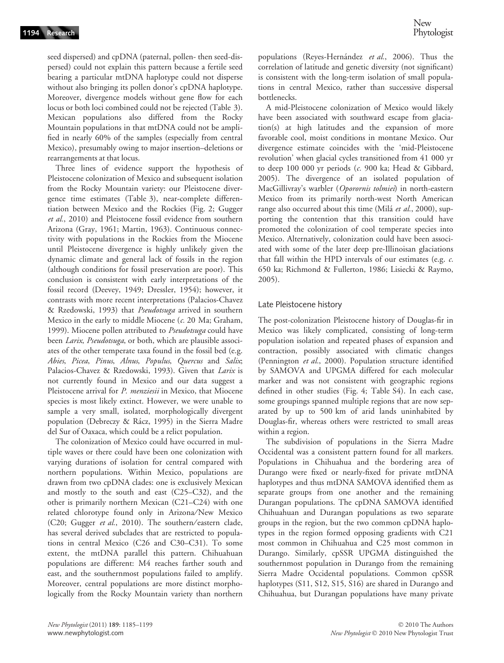seed dispersed) and cpDNA (paternal, pollen- then seed-dispersed) could not explain this pattern because a fertile seed bearing a particular mtDNA haplotype could not disperse without also bringing its pollen donor's cpDNA haplotype. Moreover, divergence models without gene flow for each locus or both loci combined could not be rejected (Table 3). Mexican populations also differed from the Rocky Mountain populations in that mtDNA could not be amplified in nearly 60% of the samples (especially from central Mexico), presumably owing to major insertion–deletions or rearrangements at that locus.

Three lines of evidence support the hypothesis of Pleistocene colonization of Mexico and subsequent isolation from the Rocky Mountain variety: our Pleistocene divergence time estimates (Table 3), near-complete differentiation between Mexico and the Rockies (Fig. 2; Gugger et al., 2010) and Pleistocene fossil evidence from southern Arizona (Gray, 1961; Martin, 1963). Continuous connectivity with populations in the Rockies from the Miocene until Pleistocene divergence is highly unlikely given the dynamic climate and general lack of fossils in the region (although conditions for fossil preservation are poor). This conclusion is consistent with early interpretations of the fossil record (Deevey, 1949; Dressler, 1954); however, it contrasts with more recent interpretations (Palacios-Chavez & Rzedowski, 1993) that Pseudotsuga arrived in southern Mexico in the early to middle Miocene  $(c. 20$  Ma; Graham, 1999). Miocene pollen attributed to Pseudotsuga could have been Larix, Pseudotsuga, or both, which are plausible associates of the other temperate taxa found in the fossil bed (e.g. Abies, Picea, Pinus, Alnus, Populus, Quercus and Salix; Palacios-Chavez & Rzedowski, 1993). Given that Larix is not currently found in Mexico and our data suggest a Pleistocene arrival for P. menziesii in Mexico, that Miocene species is most likely extinct. However, we were unable to sample a very small, isolated, morphologically divergent population (Debreczy & Rácz, 1995) in the Sierra Madre del Sur of Oaxaca, which could be a relict population.

The colonization of Mexico could have occurred in multiple waves or there could have been one colonization with varying durations of isolation for central compared with northern populations. Within Mexico, populations are drawn from two cpDNA clades: one is exclusively Mexican and mostly to the south and east (C25–C32), and the other is primarily northern Mexican (C21–C24) with one related chlorotype found only in Arizona/New Mexico (C20; Gugger et al., 2010). The southern/eastern clade, has several derived subclades that are restricted to populations in central Mexico (C26 and C30–C31). To some extent, the mtDNA parallel this pattern. Chihuahuan populations are different: M4 reaches farther south and east, and the southernmost populations failed to amplify. Moreover, central populations are more distinct morphologically from the Rocky Mountain variety than northern populations (Reyes-Hernández et al., 2006). Thus the correlation of latitude and genetic diversity (not significant) is consistent with the long-term isolation of small populations in central Mexico, rather than successive dispersal bottlenecks.

A mid-Pleistocene colonization of Mexico would likely have been associated with southward escape from glaciation(s) at high latitudes and the expansion of more favorable cool, moist conditions in montane Mexico. Our divergence estimate coincides with the 'mid-Pleistocene revolution' when glacial cycles transitioned from 41 000 yr to deep 100 000 yr periods (c. 900 ka; Head & Gibbard, 2005). The divergence of an isolated population of MacGillivray's warbler (Oporornis tolmiei) in north-eastern Mexico from its primarily north-west North American range also occurred about this time (Milá et al., 2000), supporting the contention that this transition could have promoted the colonization of cool temperate species into Mexico. Alternatively, colonization could have been associated with some of the later deep pre-Illinoisan glaciations that fall within the HPD intervals of our estimates (e.g. c. 650 ka; Richmond & Fullerton, 1986; Lisiecki & Raymo, 2005).

## Late Pleistocene history

The post-colonization Pleistocene history of Douglas-fir in Mexico was likely complicated, consisting of long-term population isolation and repeated phases of expansion and contraction, possibly associated with climatic changes (Pennington et al., 2000). Population structure identified by SAMOVA and UPGMA differed for each molecular marker and was not consistent with geographic regions defined in other studies (Fig. 4; Table S4). In each case, some groupings spanned multiple regions that are now separated by up to 500 km of arid lands uninhabited by Douglas-fir, whereas others were restricted to small areas within a region.

The subdivision of populations in the Sierra Madre Occidental was a consistent pattern found for all markers. Populations in Chihuahua and the bordering area of Durango were fixed or nearly-fixed for private mtDNA haplotypes and thus mtDNA SAMOVA identified them as separate groups from one another and the remaining Durangan populations. The cpDNA SAMOVA identified Chihuahuan and Durangan populations as two separate groups in the region, but the two common cpDNA haplotypes in the region formed opposing gradients with C21 most common in Chihuahua and C25 most common in Durango. Similarly, cpSSR UPGMA distinguished the southernmost population in Durango from the remaining Sierra Madre Occidental populations. Common cpSSR haplotypes (S11, S12, S15, S16) are shared in Durango and Chihuahua, but Durangan populations have many private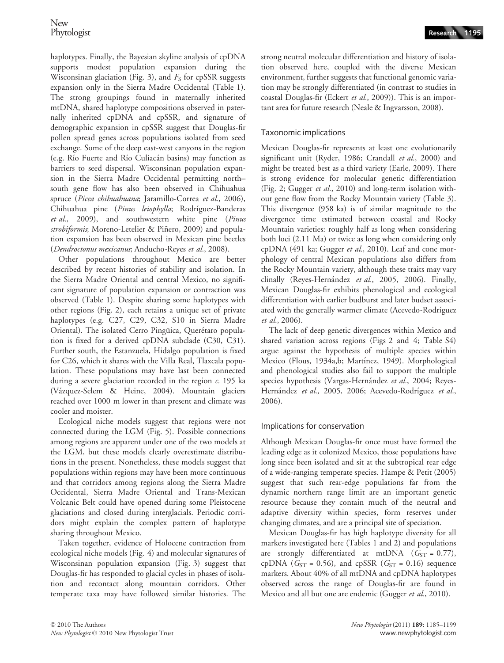haplotypes. Finally, the Bayesian skyline analysis of cpDNA supports modest population expansion during the Wisconsinan glaciation (Fig. 3), and  $F<sub>S</sub>$  for cpSSR suggests expansion only in the Sierra Madre Occidental (Table 1). The strong groupings found in maternally inherited mtDNA, shared haplotype compositions observed in paternally inherited cpDNA and cpSSR, and signature of demographic expansion in cpSSR suggest that Douglas-fir pollen spread genes across populations isolated from seed exchange. Some of the deep east-west canyons in the region (e.g. Rı´o Fuerte and Rı´o Culiaca´n basins) may function as barriers to seed dispersal. Wisconsinan population expansion in the Sierra Madre Occidental permitting north– south gene flow has also been observed in Chihuahua spruce (Picea chihuahuana; Jaramillo-Correa et al., 2006), Chihuahua pine (Pinus leiophylla; Rodríguez-Banderas et al., 2009), and southwestern white pine (Pinus strobiformis; Moreno-Letelier & Piñero, 2009) and population expansion has been observed in Mexican pine beetles (Dendroctonus mexicanus; Anducho-Reyes et al., 2008).

Other populations throughout Mexico are better described by recent histories of stability and isolation. In the Sierra Madre Oriental and central Mexico, no significant signature of population expansion or contraction was observed (Table 1). Despite sharing some haplotypes with other regions (Fig. 2), each retains a unique set of private haplotypes (e.g. C27, C29, C32, S10 in Sierra Madre Oriental). The isolated Cerro Pingüica, Querétaro population is fixed for a derived cpDNA subclade (C30, C31). Further south, the Estanzuela, Hidalgo population is fixed for C26, which it shares with the Villa Real, Tlaxcala population. These populations may have last been connected during a severe glaciation recorded in the region  $c$ . 195 ka (Vázquez-Selem & Heine, 2004). Mountain glaciers reached over 1000 m lower in than present and climate was cooler and moister.

Ecological niche models suggest that regions were not connected during the LGM (Fig. 5). Possible connections among regions are apparent under one of the two models at the LGM, but these models clearly overestimate distributions in the present. Nonetheless, these models suggest that populations within regions may have been more continuous and that corridors among regions along the Sierra Madre Occidental, Sierra Madre Oriental and Trans-Mexican Volcanic Belt could have opened during some Pleistocene glaciations and closed during interglacials. Periodic corridors might explain the complex pattern of haplotype sharing throughout Mexico.

Taken together, evidence of Holocene contraction from ecological niche models (Fig. 4) and molecular signatures of Wisconsinan population expansion (Fig. 3) suggest that Douglas-fir has responded to glacial cycles in phases of isolation and recontact along mountain corridors. Other temperate taxa may have followed similar histories. The

strong neutral molecular differentiation and history of isolation observed here, coupled with the diverse Mexican environment, further suggests that functional genomic variation may be strongly differentiated (in contrast to studies in coastal Douglas-fir (Eckert et al., 2009)). This is an important area for future research (Neale & Ingvarsson, 2008).

## Taxonomic implications

Mexican Douglas-fir represents at least one evolutionarily significant unit (Ryder, 1986; Crandall et al., 2000) and might be treated best as a third variety (Earle, 2009). There is strong evidence for molecular genetic differentiation (Fig. 2; Gugger et al., 2010) and long-term isolation without gene flow from the Rocky Mountain variety (Table 3). This divergence (958 ka) is of similar magnitude to the divergence time estimated between coastal and Rocky Mountain varieties: roughly half as long when considering both loci (2.11 Ma) or twice as long when considering only cpDNA (491 ka; Gugger et al., 2010). Leaf and cone morphology of central Mexican populations also differs from the Rocky Mountain variety, although these traits may vary clinally (Reyes-Hernández et al., 2005, 2006). Finally, Mexican Douglas-fir exhibits phenological and ecological differentiation with earlier budburst and later budset associated with the generally warmer climate (Acevedo-Rodríguez et al., 2006).

The lack of deep genetic divergences within Mexico and shared variation across regions (Figs 2 and 4; Table S4) argue against the hypothesis of multiple species within Mexico (Flous, 1934a,b; Martínez, 1949). Morphological and phenological studies also fail to support the multiple species hypothesis (Vargas-Hernández et al., 2004; Reyes-Hernández et al., 2005, 2006; Acevedo-Rodríguez et al., 2006).

## Implications for conservation

Although Mexican Douglas-fir once must have formed the leading edge as it colonized Mexico, those populations have long since been isolated and sit at the subtropical rear edge of a wide-ranging temperate species. Hampe & Petit (2005) suggest that such rear-edge populations far from the dynamic northern range limit are an important genetic resource because they contain much of the neutral and adaptive diversity within species, form reserves under changing climates, and are a principal site of speciation.

Mexican Douglas-fir has high haplotype diversity for all markers investigated here (Tables 1 and 2) and populations are strongly differentiated at mtDNA  $(G<sub>ST</sub> = 0.77)$ , cpDNA ( $G_{ST}$  = 0.56), and cpSSR ( $G_{ST}$  = 0.16) sequence markers. About 40% of all mtDNA and cpDNA haplotypes observed across the range of Douglas-fir are found in Mexico and all but one are endemic (Gugger et al., 2010).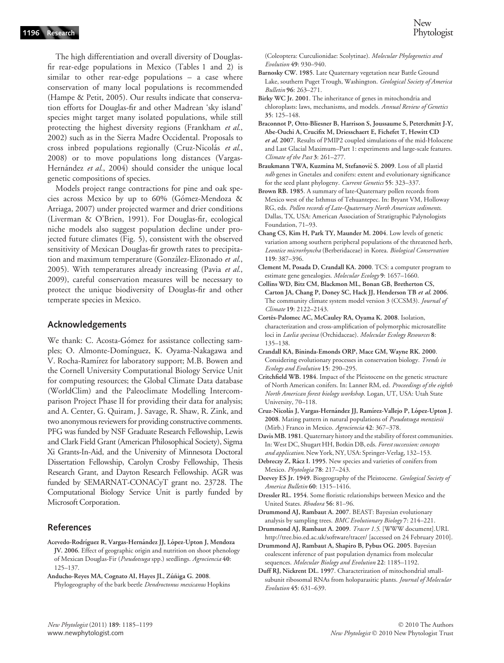New **Phytologist** 

The high differentiation and overall diversity of Douglasfir rear-edge populations in Mexico (Tables 1 and 2) is similar to other rear-edge populations – a case where conservation of many local populations is recommended (Hampe & Petit, 2005). Our results indicate that conservation efforts for Douglas-fir and other Madrean 'sky island' species might target many isolated populations, while still protecting the highest diversity regions (Frankham et al., 2002) such as in the Sierra Madre Occidental. Proposals to cross inbred populations regionally (Cruz-Nicolás et al., 2008) or to move populations long distances (Vargas-Hernández et al., 2004) should consider the unique local genetic compositions of species.

Models project range contractions for pine and oak species across Mexico by up to 60% (Gómez-Mendoza & Arriaga, 2007) under projected warmer and drier conditions (Liverman & O'Brien, 1991). For Douglas-fir, ecological niche models also suggest population decline under projected future climates (Fig. 5), consistent with the observed sensitivity of Mexican Douglas-fir growth rates to precipitation and maximum temperature (González-Elizonado et al., 2005). With temperatures already increasing (Pavia et al., 2009), careful conservation measures will be necessary to protect the unique biodiversity of Douglas-fir and other temperate species in Mexico.

## Acknowledgements

We thank: C. Acosta-Gómez for assistance collecting samples; O. Almonte-Domínguez, K. Oyama-Nakagawa and V. Rocha-Ramı´rez for laboratory support; M.B. Bowen and the Cornell University Computational Biology Service Unit for computing resources; the Global Climate Data database (WorldClim) and the Paleoclimate Modelling Intercomparison Project Phase II for providing their data for analysis; and A. Center, G. Quiram, J. Savage, R. Shaw, R. Zink, and two anonymous reviewers for providing constructive comments. PFG was funded by NSF Graduate Research Fellowship, Lewis and Clark Field Grant (American Philosophical Society), Sigma Xi Grants-In-Aid, and the University of Minnesota Doctoral Dissertation Fellowship, Carolyn Crosby Fellowship, Thesis Research Grant, and Dayton Research Fellowship. AGR was funded by SEMARNAT-CONACyT grant no. 23728. The Computational Biology Service Unit is partly funded by Microsoft Corporation.

## References

Acevedo-Rodríguez R, Vargas-Hernández JJ, López-Upton J, Mendoza JV. 2006. Effect of geographic origin and nutrition on shoot phenology of Mexican Douglas-Fir (Pseudotsuga spp.) seedlings. Agrociencia 40: 125–137.

Anducho-Reyes MA, Cognato AI, Hayes JL, Zúñiga G. 2008.

Phylogeography of the bark beetle Dendroctonus mexicanus Hopkins

(Coleoptera: Curculionidae: Scolytinae). Molecular Phylogenetics and Evolution 49: 930–940.

- Barnosky CW. 1985. Late Quaternary vegetation near Battle Ground Lake, southern Puget Trough, Washington. Geological Society of America Bulletin 96: 263–271.
- Birky WC Jr. 2001. The inheritance of genes in mitochondria and chloroplasts: laws, mechanisms, and models. Annual Review of Genetics 35: 125–148.
- Braconnot P, Otto-Bliesner B, Harrison S, Joussaume S, Peterchmitt J-Y, Abe-Ouchi A, Crucifix M, Driesschaert E, Fichefet T, Hewitt CD et al. 2007. Results of PMIP2 coupled simulations of the mid-Holocene and Last Glacial Maximum–Part 1: experiments and large-scale features. Climate of the Past 3: 261–277.
- Braukmann TWA, Kuzmina M, Stefanović S. 2009. Loss of all plastid ndh genes in Gnetales and conifers: extent and evolutionary significance for the seed plant phylogeny. Current Genetics 55: 323-337.
- Brown RB. 1985. A summary of late-Quaternary pollen records from Mexico west of the Isthmus of Tehuantepec. In: Bryant VM, Holloway RG, eds. Pollen records of Late-Quaternary North American sediments. Dallas, TX, USA: American Association of Stratigraphic Palynologists Foundation, 71–93.
- Chang CS, Kim H, Park TY, Maunder M. 2004. Low levels of genetic variation among southern peripheral populations of the threatened herb, Leontice microrhyncha (Berberidaceae) in Korea. Biological Conservation 119: 387–396.
- Clement M, Posada D, Crandall KA. 2000. TCS: a computer program to estimate gene genealogies. Molecular Ecology 9: 1657-1660.
- Collins WD, Bitz CM, Blackmon ML, Bonan GB, Bretherton CS, Carton JA, Chang P, Doney SC, Hack JJ, Henderson TB et al. 2006. The community climate system model version 3 (CCSM3). Journal of Climate 19: 2122–2143.
- Cortés-Palomec AC, McCauley RA, Oyama K. 2008. Isolation, characterization and cross-amplification of polymorphic microsatellite loci in Laelia speciosa (Orchidaceae). Molecular Ecology Resources 8: 135–138.
- Crandall KA, Bininda-Emonds ORP, Mace GM, Wayne RK. 2000. Considering evolutionary processes in conservation biology. Trends in Ecology and Evolution 15: 290–295.
- Critchfield WB. 1984. Impact of the Pleistocene on the genetic structure of North American conifers. In: Lanner RM, ed. Proceedings of the eighth North American forest biology workshop. Logan, UT, USA: Utah State University, 70–118.
- Cruz-Nicolás J, Vargas-Hernández JJ, Ramírez-Vallejo P, López-Upton J. 2008. Mating pattern in natural populations of Pseudotsuga menziesii (Mirb.) Franco in Mexico. Agrociencia 42: 367–378.
- Davis MB. 1981. Quaternary history and the stability of forest communities. In: West DC, Shugart HH, Botkin DB, eds. Forest succession: concepts and application. New York, NY, USA: Springer-Verlag, 132–153.
- Debreczy Z, Rácz I. 1995. New species and varieties of conifers from Mexico. Phytologia 78: 217–243.

- Dressler RL. 1954. Some floristic relationships between Mexico and the United States. Rhodora 56: 81–96.
- Drummond AJ, Rambaut A. 2007. BEAST: Bayesian evolutionary analysis by sampling trees. BMC Evolutionary Biology 7: 214–221.
- Drummond AJ, Rambaut A. 2009. Tracer 1.5. [WWW document].URL http://tree.bio.ed.ac.uk/software/tracer/ [accessed on 24 February 2010].
- Drummond AJ, Rambaut A, Shapiro B, Pybus OG. 2005. Bayesian coalescent inference of past population dynamics from molecular sequences. Molecular Biology and Evolution 22: 1185-1192.
- Duff RJ, Nickrent DL. 1997. Characterization of mitochondrial smallsubunit ribosomal RNAs from holoparasitic plants. Journal of Molecular Evolution 45: 631–639.

Deevey ES Jr. 1949. Biogeography of the Pleistocene. Geological Society of America Bulletin 60: 1315–1416.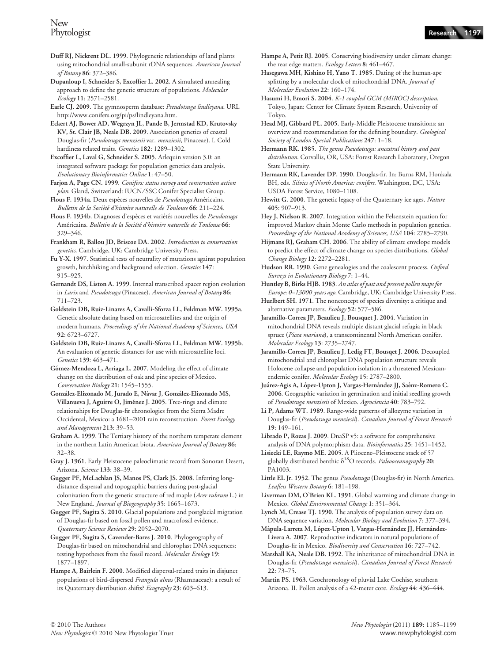- Duff RJ, Nickrent DL. 1999. Phylogenetic relationships of land plants using mitochondrial small-subunit rDNA sequences. American Journal of Botany 86: 372–386.
- Dupanloup I, Schneider S, Excoffier L. 2002. A simulated annealing approach to define the genetic structure of populations. Molecular Ecology 11: 2571–2581.

Earle CJ. 2009. The gymnosperm database: Pseudotsuga lindleyana. URL http://www.conifers.org/pi/ps/lindleyana.htm.

Eckert AJ, Bower AD, Wegrzyn JL, Pande B, Jermstad KD, Krutovsky KV, St. Clair JB, Neale DB. 2009. Association genetics of coastal Douglas-fir (Pseudotsuga menziesii var. menziesii, Pinaceae). I. Cold hardiness related traits. Genetics 182: 1289-1302.

Excoffier L, Laval G, Schneider S. 2005. Arlequin version 3.0: an integrated software package for population genetics data analysis. Evolutionary Bioinformatics Online 1: 47–50.

Farjon A, Page CN. 1999. Conifers: status survey and conservation action plan. Gland, Switzerland: IUCN/SSC Conifer Specialist Group.

Flous F. 1934a. Deux espèces nouvelles de Pseudotsuga Américains. Bulletin de la Société d'histoire naturelle de Toulouse 66: 211–224.

Flous F. 1934b. Diagnoses d'espèces et variétés nouvelles de Pseudotsuga Américains. Bulletin de la Société d'histoire naturelle de Toulouse 66: 329–346.

Frankham R, Ballou JD, Briscoe DA. 2002. Introduction to conservation genetics. Cambridge, UK: Cambridge University Press.

Fu Y-X. 1997. Statistical tests of neutrality of mutations against population growth, hitchhiking and background selection. Genetics 147: 915–925.

Gernandt DS, Liston A. 1999. Internal transcribed spacer region evolution in Larix and Pseudotsuga (Pinaceae). American Journal of Botany 86: 711–723.

Goldstein DB, Ruiz-Linares A, Cavalli-Sforza LL, Feldman MW. 1995a. Genetic absolute dating based on microsatellites and the origin of modern humans. Proceedings of the National Academy of Sciences, USA 92: 6723–6727.

Goldstein DB, Ruiz-Linares A, Cavalli-Sforza LL, Feldman MW. 1995b. An evaluation of genetic distances for use with microsatellite loci. Genetics 139: 463–471.

Gómez-Mendoza L, Arriaga L. 2007. Modeling the effect of climate change on the distribution of oak and pine species of Mexico. Conservation Biology 21: 1545–1555.

González-Elizonado M, Jurado E, Návar J, González-Elizonado MS, Villanueva J, Aguirre O, Jiménez J. 2005. Tree-rings and climate relationships for Douglas-fir chronologies from the Sierra Madre Occidental, Mexico: a 1681–2001 rain reconstruction. Forest Ecology and Management 213: 39–53.

Graham A. 1999. The Tertiary history of the northern temperate element in the northern Latin American biota. American Journal of Botany 86: 32–38.

Gray J. 1961. Early Pleistocene paleoclimatic record from Sonoran Desert, Arizona. Science 133: 38–39.

Gugger PF, McLachlan JS, Manos PS, Clark JS. 2008. Inferring longdistance dispersal and topographic barriers during post-glacial colonization from the genetic structure of red maple (Acer rubrum L.) in New England. Journal of Biogeography 35: 1665–1673.

Gugger PF, Sugita S. 2010. Glacial populations and postglacial migration of Douglas-fir based on fossil pollen and macrofossil evidence. Quaternary Science Reviews 29: 2052–2070.

Gugger PF, Sugita S, Cavender-Bares J. 2010. Phylogeography of Douglas-fir based on mitochondrial and chloroplast DNA sequences: testing hypotheses from the fossil record. Molecular Ecology 19: 1877–1897.

Hampe A, Bairlein F. 2000. Modified dispersal-related traits in disjunct populations of bird-dispersed Frangula alnus (Rhamnaceae): a result of its Quaternary distribution shifts? Ecography 23: 603–613.

- Hampe A, Petit RJ. 2005. Conserving biodiversity under climate change: the rear edge matters. Ecology Letters 8: 461–467.
- Hasegawa MH, Kishino H, Yano T. 1985. Dating of the human-ape splitting by a molecular clock of mitochondrial DNA. *Journal of* Molecular Evolution 22: 160–174.

Hasumi H, Emori S. 2004. K-1 coupled GCM (MIROC) description. Tokyo, Japan: Center for Climate System Research, University of Tokyo.

Head MJ, Gibbard PL. 2005. Early-Middle Pleistocene transitions: an overview and recommendation for the defining boundary. Geological Society of London Special Publications 247: 1–18.

Hermann RK. 1985. The genus Pseudotsuga: ancestral history and past distribution. Corvallis, OR, USA: Forest Research Laboratory, Oregon State University.

Hermann RK, Lavender DP. 1990. Douglas-fir. In: Burns RM, Honkala BH, eds. Silvics of North America: conifers. Washington, DC, USA: USDA Forest Service, 1080–1108.

Hewitt G. 2000. The genetic legacy of the Quaternary ice ages. Nature 405: 907–913.

Hey J, Nielson R. 2007. Integration within the Felsenstein equation for improved Markov chain Monte Carlo methods in population genetics. Proceedings of the National Academy of Sciences, USA 104: 2785–2790.

Hijmans RJ, Graham CH. 2006. The ability of climate envelope models to predict the effect of climate change on species distributions. Global Change Biology 12: 2272–2281.

Hudson RR. 1990. Gene genealogies and the coalescent process. Oxford Surveys in Evolutionary Biology 7: 1–44.

Huntley B, Birks HJB. 1983. An atlas of past and present pollen maps for Europe: 0–13000 years ago. Cambridge, UK: Cambridge University Press.

Hurlbert SH. 1971. The nonconcept of species diversity: a critique and alternative parameters. Ecology 52: 577–586.

Jaramillo-Correa JP, Beaulieu J, Bousquet J. 2004. Variation in mitochondrial DNA reveals multiple distant glacial refugia in black spruce (Picea mariana), a transcontinental North American conifer. Molecular Ecology 13: 2735–2747.

Jaramillo-Correa JP, Beaulieu J, Ledig FT, Bousqet J. 2006. Decoupled mitochondrial and chloroplast DNA population structure reveals Holocene collapse and population isolation in a threatened Mexicanendemic conifer. Molecular Ecology 15: 2787–2800.

Juárez-Agis A, López-Upton J, Vargas-Hernández JJ, Saénz-Romero C. 2006. Geographic variation in germination and initial seedling growth of Pseudotsuga menziesii of Mexico. Agrociencia 40: 783–792.

Li P, Adams WT. 1989. Range-wide patterns of allozyme variation in Douglas-fir (Pseudotsuga menziesii). Canadian Journal of Forest Research 19: 149–161.

Librado P, Rozas J. 2009. DnaSP v5: a software for comprehensive analysis of DNA polymorphism data. Bioinformatics 25: 1451–1452.

Lisiecki LE, Raymo ME. 2005. A Pliocene–Pleistocene stack of 57 globally distributed benthic  $\delta^{18}O$  records. Paleooceanography 20: PA1003.

Little EL Jr. 1952. The genus Pseudotsuga (Douglas-fir) in North America. Leaflets Western Botany 6: 181–198.

Liverman DM, O'Brien KL. 1991. Global warming and climate change in Mexico. Global Environmental Change 1: 351–364.

Lynch M, Crease TJ. 1990. The analysis of population survey data on DNA sequence variation. Molecular Biology and Evolution 7: 377–394.

Mápula-Larreta M, López-Upton J, Vargas-Hernández JJ, Hernández-Livera A. 2007. Reproductive indicators in natural populations of Douglas-fir in Mexico. Biodiversity and Conservation 16: 727–742.

Marshall KA, Neale DB. 1992. The inheritance of mitochondrial DNA in Douglas-fir (Pseudotsuga menziesii). Canadian Journal of Forest Research 22: 73–75.

Martin PS. 1963. Geochronology of pluvial Lake Cochise, southern Arizona. II. Pollen analysis of a 42-meter core. Ecology 44: 436–444.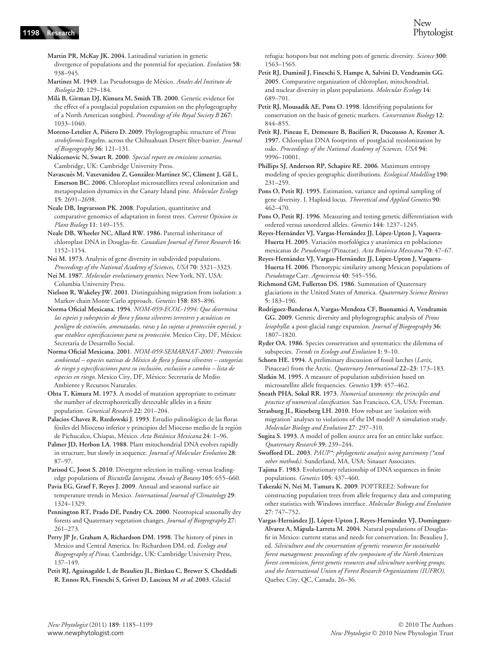- Martin PR, McKay JK. 2004. Latitudinal variation in genetic divergence of populations and the potential for speciation. Evolution 58: 938–945.
- Martínez M. 1949. Las Pseudotsugas de México. Anales del Instituto de Biología 20: 129-184.
- Mila´ B, Girman DJ, Kimura M, Smith TB. 2000. Genetic evidence for the effect of a postglacial population expansion on the phylogeography of a North American songbird. Proceedings of the Royal Society B 267: 1033–1040.
- Moreno-Letelier A, Piñero D. 2009. Phylogeographic structure of Pinus strobiformis Engelm. across the Chihuahuan Desert filter-barrier. Journal of Biogeography 36: 121–131.
- Nakicenovic N, Swart R. 2000. Special report on emissions scenarios. Cambridge, UK: Cambridge University Press.
- Navascués M, Vaxevanidou Z, González-Martínez SC, Climent J, Gil L, Emerson BC. 2006. Chloroplast microsatellites reveal colonization and metapopulation dynamics in the Canary Island pine. Molecular Ecology 15: 2691–2698.
- Neale DB, Ingvarsson PK. 2008. Population, quantitative and comparative genomics of adaptation in forest trees. Current Opinion in Plant Biology 11: 149–155.
- Neale DB, Wheeler NC, Allard RW. 1986. Paternal inheritance of chloroplast DNA in Douglas-fir. Canadian Journal of Forest Research 16: 1152–1154.
- Nei M. 1973. Analysis of gene diversity in subdivided populations. Proceedings of the National Academy of Sciences, USA 70: 3321–3323.
- Nei M. 1987. Molecular evolutionary genetics. New York, NY, USA: Columbia University Press.
- Nielson R, Wakeley JW. 2001. Distinguishing migration from isolation: a Markov chain Monte Carlo approach. Genetics 158: 885–896.
- Norma Oficial Mexicana. 1994. NOM-059-ECOL-1994: Que determina las espeies y subespecies de flora y fauna silvestres terrestres y acuáticas en penligro de extinción, amenazadas, raras y las sujetas a protección especial, y que establece especificaciones para su protección. Mexico City, DF, México: Secretaría de Desarrollo Social.
- Norma Oficial Mexicana. 2001. NOM-059-SEMARNAT-2001: Protección ambiental – especies nativas de México de flora y fauna silvestres – categorías de riesgo y especificaciones para su inclusión, exclusión o cambio – lista de especies en riesgo. Mexico City, DF, México: Secretaría de Medio Ambiente y Recursos Naturales.
- Ohta T, Kimura M. 1973. A model of mutation appropriate to estimate the number of electrophoretically detectable alleles in a finite population. Genetical Research 22: 201–204.
- Palacios-Chavez R, Rzedowski J. 1993. Estudio palinológico de las floras fósiles del Mioceno inferior y principios del Mioceno medio de la región de Pichucalco, Chiapas, México. Acta Botánica Mexicana 24: 1-96.
- Palmer JD, Herbon LA. 1988. Plant mitochondrial DNA evolves rapidly in structure, but slowly in sequence. Journal of Molecular Evolution 28: 87–97.
- Parisod C, Joost S. 2010. Divergent selection in trailing- versus leadingedge populations of Biscutella laevigata. Annals of Botany 105: 655–660.
- Pavia EG, Graef F, Reyes J. 2009. Annual and seasonal surface air temperature trends in Mexico. International Journal of Climatology 29: 1324–1329.
- Pennington RT, Prado DE, Pendry CA. 2000. Neotropical seasonally dry forests and Quaternary vegetation changes. Journal of Biogeography 27: 261–273.
- Perry JP Jr, Graham A, Richardson DM. 1998. The history of pines in Mexico and Central America. In: Richardson DM, ed. Ecology and Biogeography of Pinus. Cambridge, UK: Cambridge University Press, 137–149.
- Petit RJ, Aguinagalde I, de Beaulieu JL, Bittkau C, Brewer S, Cheddadi R, Ennos RA, Fineschi S, Grivet D, Lascoux M et al. 2003. Glacial

refugia: hotspots but not melting pots of genetic diversity. Science 300: 1563–1565.

- Petit RJ, Duminil J, Fineschi S, Hampe A, Salvini D, Vendramin GG. 2005. Comparative organization of chloroplast, mitochondrial, and nuclear diversity in plant populations. Molecular Ecology 14: 689–701.
- Petit RJ, Mousadik AE, Pons O. 1998. Identifying populations for conservation on the basis of genetic markers. Conservation Biology 12: 844–855.
- Petit RJ, Pineau E, Demesure B, Bacilieri R, Ducousso A, Kremer A. 1997. Chloroplast DNA footprints of postglacial recolonization by oaks. Proceedings of the National Academy of Sciences, USA 94: 9996–10001.
- Phillips SJ, Anderson RP, Schapire RE. 2006. Maximum entropy modeling of species geographic distributions. Ecological Modelling 190: 231–259.
- Pons O, Petit RJ. 1995. Estimation, variance and optimal sampling of gene diversity. I. Haploid locus. Theoretical and Applied Genetics 90: 462–470.
- Pons O, Petit RJ. 1996. Measuring and testing genetic differentiation with ordered versus unordered alleles. Genetics 144: 1237–1245.
- Reyes-Hernández VJ, Vargas-Hernández JJ, López-Upton J, Vaquera-Huerta H. 2005. Variación morfológica y anatómica en poblaciones mexicanas de Pseudotsuga (Pinaceae). Acta Botánica Mexicana 70: 47-67.
- Reyes-Hernández VJ, Vargas-Hernández JJ, López-Upton J, Vaquera-Huerta H. 2006. Phenotypic similarity among Mexican populations of Pseudotsuga Carr. Agrociencia 40: 545–556.
- Richmond GM, Fullerton DS. 1986. Summation of Quaternary glaciations in the United States of America. Quaternary Science Reviews 5: 183–196.
- Rodrı´guez-Banderas A, Vargas-Mendoza CF, Buonamici A, Vendramin GG. 2009. Genetic diversity and phylogeographic analysis of Pinus leiophylla: a post-glacial range expansion. Journal of Biogeography 36: 1807–1820.
- Ryder OA. 1986. Species conservation and systematics: the dilemma of subspecies. Trends in Ecology and Evolution 1: 9-10.
- Schorn HE. 1994. A preliminary discussion of fossil larches (Larix, Pinaceae) from the Arctic. Quaternary International 22–23: 173–183.
- Slatkin M. 1995. A measure of population subdivision based on microsatellite allele frequencies. Genetics 139: 457–462.
- Sneath PHA, Sokal RR. 1973. Numerical taxonomy: the principles and practice of numerical classification. San Francisco, CA, USA: Freeman.
- Strasburg JL, Rieseberg LH. 2010. How robust are 'isolation with migration' analyses to violations of the IM model? A simulation study. Molecular Biology and Evolution 27: 297–310.
- Sugita S. 1993. A model of pollen source area for an entire lake surface. Quaternary Research 39: 239–244.
- Swofford DL. 2003. PAUP\*: phylogenetic analysis using parsimony (\*and other methods). Sunderland, MA, USA: Sinauer Associates.
- Tajima F. 1983. Evolutionary relationship of DNA sequences in finite populations. Genetics 105: 437–460.
- Takezaki N, Nei M, Tamura K. 2009. POPTREE2: Software for constructing population trees from allele frequency data and computing other statistics with Windows interface. Molecular Biology and Evolution 27: 747–752.
- Vargas-Hernández JJ, López-Upton J, Reyes-Hernández VJ, Domínguez-Alvarez A, Mápula-Larreta M. 2004. Natural populations of Douglasfir in Mexico: current status and needs for conservation. In: Beaulieu J, ed. Silviculture and the conservation of genetic resources for sustainable forest management: proceedings of the symposium of the North American forest commission, forest genetic resources and silviculture working groups, and the International Union of Forest Research Organizations (IUFRO). Quebec City, QC, Canada, 26–36.